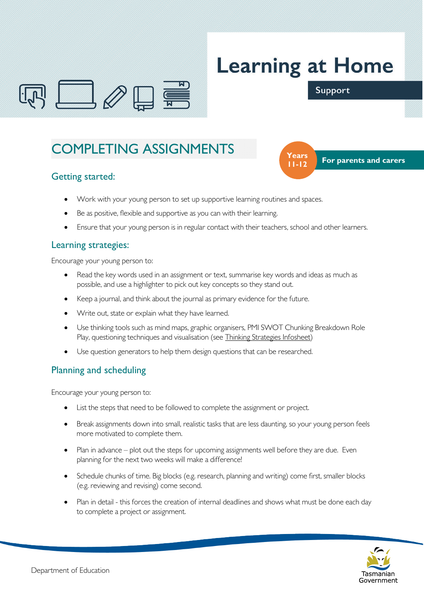

# **Learning at Home**

**11-12**

### Support

 **Years** For parents and carers

# COMPLETING ASSIGNMENTS

# Getting started:

- Work with your young person to set up supportive learning routines and spaces.
- Be as positive, flexible and supportive as you can with their learning.
- Ensure that your young person is in regular contact with their teachers, school and other learners.

#### Learning strategies:

Encourage your young person to:

- Read the key words used in an assignment or text, summarise key words and ideas as much as possible, and use a highlighter to pick out key concepts so they stand out.
- Keep a journal, and think about the journal as primary evidence for the future.
- Write out, state or explain what they have learned.
- Use thinking tools such as mind maps, graphic organisers, PMI SWOT Chunking Breakdown Role Play, questioning techniques and visualisation (see Thinking Strategies Infosheet)
- Use question generators to help them design questions that can be researched.

# Planning and scheduling

Encourage your young person to:

- List the steps that need to be followed to complete the assignment or project.
- Break assignments down into small, realistic tasks that are less daunting, so your young person feels more motivated to complete them.
- Plan in advance plot out the steps for upcoming assignments well before they are due. Even planning for the next two weeks will make a difference!
- Schedule chunks of time. Big blocks (e.g. research, planning and writing) come first, smaller blocks (e.g. reviewing and revising) come second.
- Plan in detail this forces the creation of internal deadlines and shows what must be done each day to complete a project or assignment.